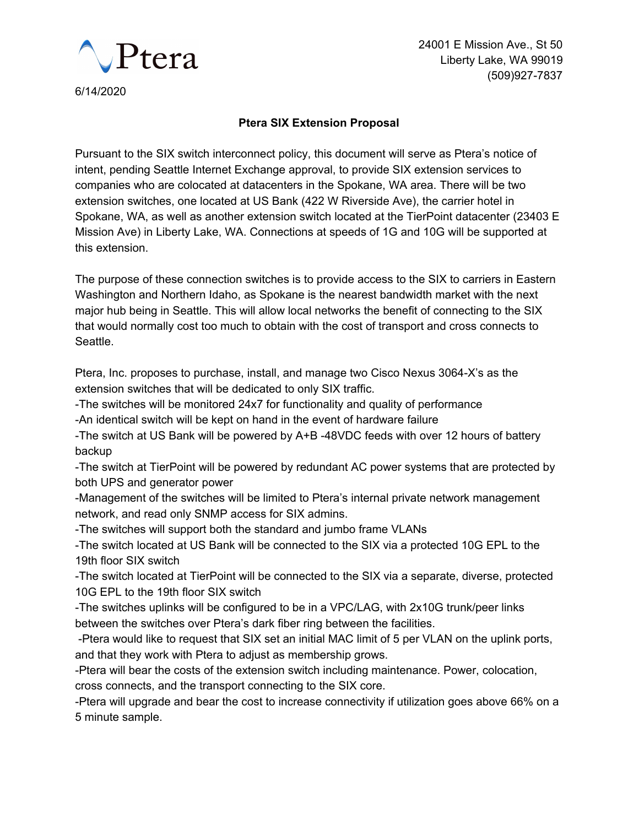

24001 E Mission Ave., St 50 Liberty Lake, WA 99019 (509)927-7837

6/14/2020

## **Ptera SIX Extension Proposal**

Pursuant to the SIX switch interconnect policy, this document will serve as Ptera's notice of intent, pending Seattle Internet Exchange approval, to provide SIX extension services to companies who are colocated at datacenters in the Spokane, WA area. There will be two extension switches, one located at US Bank (422 W Riverside Ave), the carrier hotel in Spokane, WA, as well as another extension switch located at the TierPoint datacenter (23403 E Mission Ave) in Liberty Lake, WA. Connections at speeds of 1G and 10G will be supported at this extension.

The purpose of these connection switches is to provide access to the SIX to carriers in Eastern Washington and Northern Idaho, as Spokane is the nearest bandwidth market with the next major hub being in Seattle. This will allow local networks the benefit of connecting to the SIX that would normally cost too much to obtain with the cost of transport and cross connects to Seattle.

Ptera, Inc. proposes to purchase, install, and manage two Cisco Nexus 3064-X's as the extension switches that will be dedicated to only SIX traffic.

-The switches will be monitored 24x7 for functionality and quality of performance

-An identical switch will be kept on hand in the event of hardware failure

-The switch at US Bank will be powered by A+B -48VDC feeds with over 12 hours of battery backup

-The switch at TierPoint will be powered by redundant AC power systems that are protected by both UPS and generator power

-Management of the switches will be limited to Ptera's internal private network management network, and read only SNMP access for SIX admins.

-The switches will support both the standard and jumbo frame VLANs

-The switch located at US Bank will be connected to the SIX via a protected 10G EPL to the 19th floor SIX switch

-The switch located at TierPoint will be connected to the SIX via a separate, diverse, protected 10G EPL to the 19th floor SIX switch

-The switches uplinks will be configured to be in a VPC/LAG, with 2x10G trunk/peer links between the switches over Ptera's dark fiber ring between the facilities.

-Ptera would like to request that SIX set an initial MAC limit of 5 per VLAN on the uplink ports, and that they work with Ptera to adjust as membership grows.

-Ptera will bear the costs of the extension switch including maintenance. Power, colocation, cross connects, and the transport connecting to the SIX core.

-Ptera will upgrade and bear the cost to increase connectivity if utilization goes above 66% on a 5 minute sample.